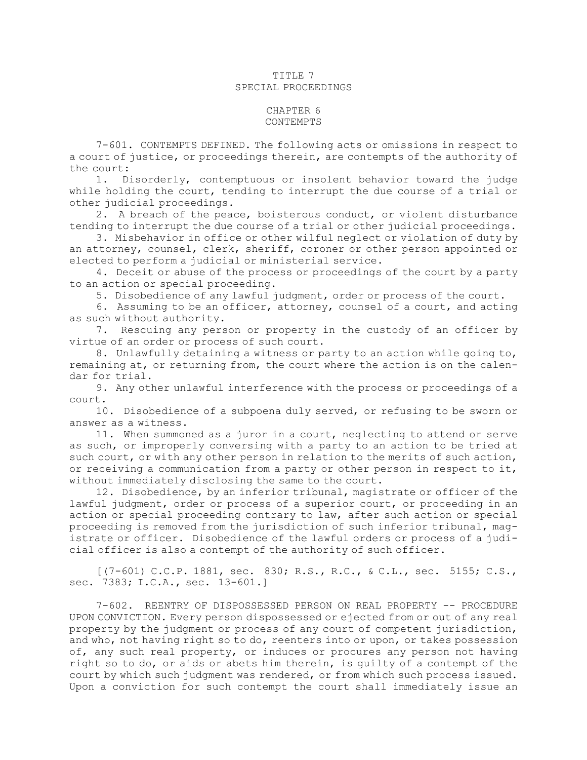## TITLE 7 SPECIAL PROCEEDINGS

## CHAPTER 6 CONTEMPTS

7-601. CONTEMPTS DEFINED. The following acts or omissions in respect to <sup>a</sup> court of justice, or proceedings therein, are contempts of the authority of the court:

1. Disorderly, contemptuous or insolent behavior toward the judge while holding the court, tending to interrupt the due course of <sup>a</sup> trial or other judicial proceedings.

2. <sup>A</sup> breach of the peace, boisterous conduct, or violent disturbance tending to interrupt the due course of <sup>a</sup> trial or other judicial proceedings.

3. Misbehavior in office or other wilful neglect or violation of duty by an attorney, counsel, clerk, sheriff, coroner or other person appointed or elected to perform <sup>a</sup> judicial or ministerial service.

4. Deceit or abuse of the process or proceedings of the court by <sup>a</sup> party to an action or special proceeding.

5. Disobedience of any lawful judgment, order or process of the court.

6. Assuming to be an officer, attorney, counsel of <sup>a</sup> court, and acting as such without authority.

7. Rescuing any person or property in the custody of an officer by virtue of an order or process of such court.

8. Unlawfully detaining <sup>a</sup> witness or party to an action while going to, remaining at, or returning from, the court where the action is on the calendar for trial.

9. Any other unlawful interference with the process or proceedings of <sup>a</sup> court.

10. Disobedience of <sup>a</sup> subpoena duly served, or refusing to be sworn or answer as <sup>a</sup> witness.

11. When summoned as <sup>a</sup> juror in <sup>a</sup> court, neglecting to attend or serve as such, or improperly conversing with <sup>a</sup> party to an action to be tried at such court, or with any other person in relation to the merits of such action, or receiving <sup>a</sup> communication from <sup>a</sup> party or other person in respect to it, without immediately disclosing the same to the court.

12. Disobedience, by an inferior tribunal, magistrate or officer of the lawful judgment, order or process of <sup>a</sup> superior court, or proceeding in an action or special proceeding contrary to law, after such action or special proceeding is removed from the jurisdiction of such inferior tribunal, magistrate or officer. Disobedience of the lawful orders or process of <sup>a</sup> judicial officer is also <sup>a</sup> contempt of the authority of such officer.

 $[(7-601) \text{ C.C.P. } 1881, \text{ sec. } 830; \text{ R.S., R.C., & C.L., sec. } 5155; \text{ C.S.,}]$ sec. 7383; I.C.A., sec. 13-601.]

7-602. REENTRY OF DISPOSSESSED PERSON ON REAL PROPERTY -- PROCEDURE UPON CONVICTION. Every person dispossessed or ejected from or out of any real property by the judgment or process of any court of competent jurisdiction, and who, not having right so to do, reenters into or upon, or takes possession of, any such real property, or induces or procures any person not having right so to do, or aids or abets him therein, is guilty of <sup>a</sup> contempt of the court by which such judgment was rendered, or from which such process issued. Upon <sup>a</sup> conviction for such contempt the court shall immediately issue an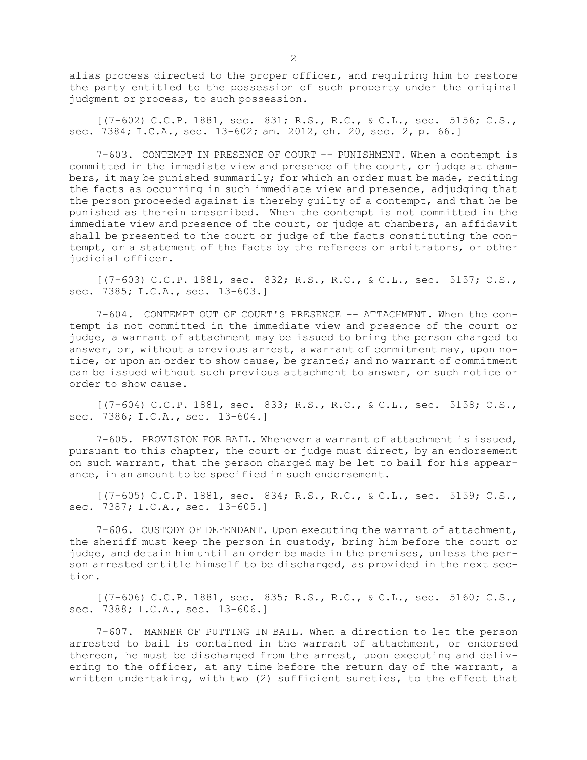alias process directed to the proper officer, and requiring him to restore the party entitled to the possession of such property under the original judgment or process, to such possession.

[(7-602) C.C.P. 1881, sec. 831; R.S., R.C., & C.L., sec. 5156; C.S., sec. 7384; I.C.A., sec. 13-602; am. 2012, ch. 20, sec. 2, p. 66.]

7-603. CONTEMPT IN PRESENCE OF COURT -- PUNISHMENT. When <sup>a</sup> contempt is committed in the immediate view and presence of the court, or judge at chambers, it may be punished summarily; for which an order must be made, reciting the facts as occurring in such immediate view and presence, adjudging that the person proceeded against is thereby guilty of <sup>a</sup> contempt, and that he be punished as therein prescribed. When the contempt is not committed in the immediate view and presence of the court, or judge at chambers, an affidavit shall be presented to the court or judge of the facts constituting the contempt, or <sup>a</sup> statement of the facts by the referees or arbitrators, or other judicial officer.

[(7-603) C.C.P. 1881, sec. 832; R.S., R.C., & C.L., sec. 5157; C.S., sec. 7385; I.C.A., sec. 13-603.]

7-604. CONTEMPT OUT OF COURT'S PRESENCE -- ATTACHMENT. When the contempt is not committed in the immediate view and presence of the court or judge, <sup>a</sup> warrant of attachment may be issued to bring the person charged to answer, or, without <sup>a</sup> previous arrest, <sup>a</sup> warrant of commitment may, upon notice, or upon an order to show cause, be granted; and no warrant of commitment can be issued without such previous attachment to answer, or such notice or order to show cause.

[(7-604) C.C.P. 1881, sec. 833; R.S., R.C., & C.L., sec. 5158; C.S., sec. 7386; I.C.A., sec. 13-604.]

7-605. PROVISION FOR BAIL. Whenever <sup>a</sup> warrant of attachment is issued, pursuant to this chapter, the court or judge must direct, by an endorsement on such warrant, that the person charged may be let to bail for his appearance, in an amount to be specified in such endorsement.

[(7-605) C.C.P. 1881, sec. 834; R.S., R.C., & C.L., sec. 5159; C.S., sec. 7387; I.C.A., sec. 13-605.]

7-606. CUSTODY OF DEFENDANT. Upon executing the warrant of attachment, the sheriff must keep the person in custody, bring him before the court or judge, and detain him until an order be made in the premises, unless the person arrested entitle himself to be discharged, as provided in the next section.

[(7-606) C.C.P. 1881, sec. 835; R.S., R.C., & C.L., sec. 5160; C.S., sec. 7388; I.C.A., sec. 13-606.]

7-607. MANNER OF PUTTING IN BAIL. When <sup>a</sup> direction to let the person arrested to bail is contained in the warrant of attachment, or endorsed thereon, he must be discharged from the arrest, upon executing and delivering to the officer, at any time before the return day of the warrant, <sup>a</sup> written undertaking, with two (2) sufficient sureties, to the effect that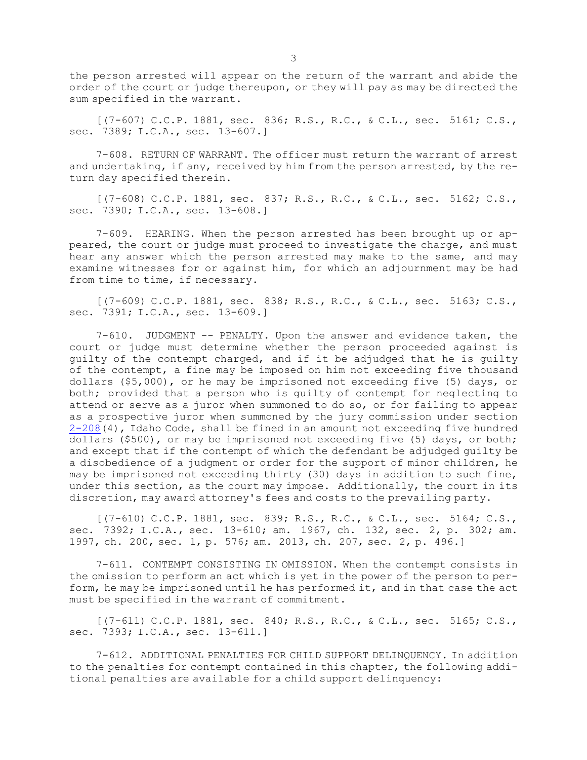the person arrested will appear on the return of the warrant and abide the order of the court or judge thereupon, or they will pay as may be directed the sum specified in the warrant.

[(7-607) C.C.P. 1881, sec. 836; R.S., R.C., & C.L., sec. 5161; C.S., sec. 7389; I.C.A., sec. 13-607.]

7-608. RETURN OF WARRANT. The officer must return the warrant of arrest and undertaking, if any, received by him from the person arrested, by the return day specified therein.

[(7-608) C.C.P. 1881, sec. 837; R.S., R.C., & C.L., sec. 5162; C.S., sec. 7390; I.C.A., sec. 13-608.]

7-609. HEARING. When the person arrested has been brought up or appeared, the court or judge must proceed to investigate the charge, and must hear any answer which the person arrested may make to the same, and may examine witnesses for or against him, for which an adjournment may be had from time to time, if necessary.

[(7-609) C.C.P. 1881, sec. 838; R.S., R.C., & C.L., sec. 5163; C.S., sec. 7391; I.C.A., sec. 13-609.]

7-610. JUDGMENT -- PENALTY. Upon the answer and evidence taken, the court or judge must determine whether the person proceeded against is guilty of the contempt charged, and if it be adjudged that he is guilty of the contempt, <sup>a</sup> fine may be imposed on him not exceeding five thousand dollars (\$5,000), or he may be imprisoned not exceeding five (5) days, or both; provided that <sup>a</sup> person who is guilty of contempt for neglecting to attend or serve as <sup>a</sup> juror when summoned to do so, or for failing to appear as <sup>a</sup> prospective juror when summoned by the jury commission under section [2-208](https://legislature.idaho.gov/statutesrules/idstat/Title2/T2CH2/SECT2-208)(4), Idaho Code, shall be fined in an amount not exceeding five hundred dollars (\$500), or may be imprisoned not exceeding five (5) days, or both; and except that if the contempt of which the defendant be adjudged guilty be <sup>a</sup> disobedience of <sup>a</sup> judgment or order for the support of minor children, he may be imprisoned not exceeding thirty (30) days in addition to such fine, under this section, as the court may impose. Additionally, the court in its discretion, may award attorney's fees and costs to the prevailing party.

[(7-610) C.C.P. 1881, sec. 839; R.S., R.C., & C.L., sec. 5164; C.S., sec. 7392; I.C.A., sec. 13-610; am. 1967, ch. 132, sec. 2, p. 302; am. 1997, ch. 200, sec. 1, p. 576; am. 2013, ch. 207, sec. 2, p. 496.]

7-611. CONTEMPT CONSISTING IN OMISSION. When the contempt consists in the omission to perform an act which is yet in the power of the person to perform, he may be imprisoned until he has performed it, and in that case the act must be specified in the warrant of commitment.

[(7-611) C.C.P. 1881, sec. 840; R.S., R.C., & C.L., sec. 5165; C.S., sec. 7393; I.C.A., sec. 13-611.]

7-612. ADDITIONAL PENALTIES FOR CHILD SUPPORT DELINQUENCY. In addition to the penalties for contempt contained in this chapter, the following additional penalties are available for <sup>a</sup> child support delinquency: